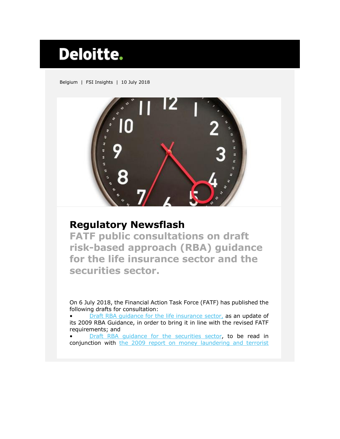## Deloitte.

Belgium | FSI Insights | 10 July 2018



## **Regulatory Newsflash**

**FATF public consultations on draft risk-based approach (RBA) guidance for the life insurance sector and the securities sector.**

On 6 July 2018, the Financial Action Task Force (FATF) has published the following drafts for consultation:

[Draft RBA guidance for the life insurance](http://www.fatf-gafi.org/publications/fatfgeneral/documents/public-consultation-guidance-life-insurance.html) sector, as an update of its 2009 RBA Guidance, in order to bring it in line with the revised FATF requirements; and

[Draft RBA guidance for the securities sector,](http://www.fatf-gafi.org/publications/fatfgeneral/documents/public-consultation-guidance-securities.html) to be read in conjunction with [the 2009 report on money laundering and terrorist](http://www.fatf-gafi.org/media/fatf/documents/reports/ML%20and%20TF%20in%20the%20Securities%20Sector.pdf)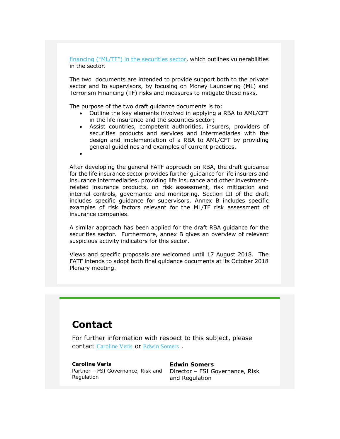financing ("ML/TF"[\) in the securities sector,](http://www.fatf-gafi.org/media/fatf/documents/reports/ML%20and%20TF%20in%20the%20Securities%20Sector.pdf) which outlines vulnerabilities in the sector.

The two documents are intended to provide support both to the private sector and to supervisors, by focusing on Money Laundering (ML) and Terrorism Financing (TF) risks and measures to mitigate these risks.

The purpose of the two draft guidance documents is to:

- Outline the key elements involved in applying a RBA to AML/CFT in the life insurance and the securities sector;
- Assist countries, competent authorities, insurers, providers of securities products and services and intermediaries with the design and implementation of a RBA to AML/CFT by providing general guidelines and examples of current practices.
- $\bullet$

After developing the general FATF approach on RBA, the draft guidance for the life insurance sector provides further guidance for life insurers and insurance intermediaries, providing life insurance and other investmentrelated insurance products, on risk assessment, risk mitigation and internal controls, governance and monitoring. Section III of the draft includes specific guidance for supervisors. Annex B includes specific examples of risk factors relevant for the ML/TF risk assessment of insurance companies.

A similar approach has been applied for the draft RBA guidance for the securities sector. Furthermore, annex B gives an overview of relevant suspicious activity indicators for this sector.

Views and specific proposals are welcomed until 17 August 2018. The FATF intends to adopt both final guidance documents at its October 2018 Plenary meeting.

## **Contact**

For further information with respect to this subject, please contact [Caroline Veris](mailto:cveris@deloitte.com) or [Edwin Somers](mailto:edsomers@deloitte.com) .

**Caroline Veris Edwin Somers** Partner – FSI Governance, Risk and Director – FSI Governance, Risk Regulation

and Regulation